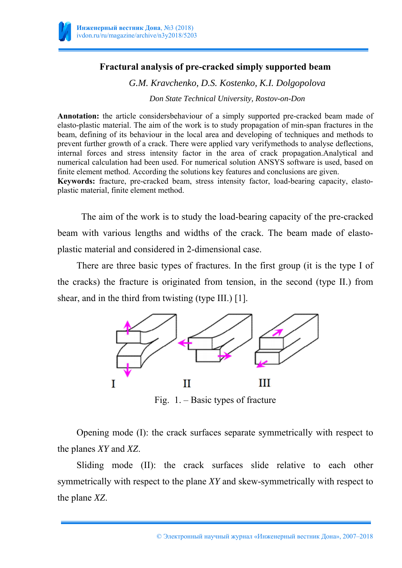

plastic material, finite element method.

### **Fractural analysis of pre-cracked simply supported beam**

*G.M. Kravchenko, D.S. Kostenko, K.I. Dolgopolova* 

*Don State Technical University, Rostov-on-Don* 

**Annotation:** the article considersbehaviour of a simply supported pre-cracked beam made of elasto-plastic material. The aim of the work is to study propagation of min-span fractures in the beam, defining of its behaviour in the local area and developing of techniques and methods to prevent further growth of a crack. There were applied vary verifymethods to analyse deflections, internal forces and stress intensity factor in the area of crack propagation.Analytical and numerical calculation had been used. For numerical solution ANSYS software is used, based on finite element method. According the solutions key features and conclusions are given. **Keywords:** fracture, pre-cracked beam, stress intensity factor, load-bearing capacity, elasto-

The aim of the work is to study the load-bearing capacity of the pre-cracked beam with various lengths and widths of the crack. The beam made of elastoplastic material and considered in 2-dimensional case.

There are three basic types of fractures. In the first group (it is the type I of the cracks) the fracture is originated from tension, in the second (type II.) from shear, and in the third from twisting (type III.) [1].



Fig. 1. – Basic types of fracture

Opening mode (I): the crack surfaces separate symmetrically with respect to the planes *XY* and *XZ*.

Sliding mode (II): the crack surfaces slide relative to each other symmetrically with respect to the plane *XY* and skew-symmetrically with respect to the plane *XZ*.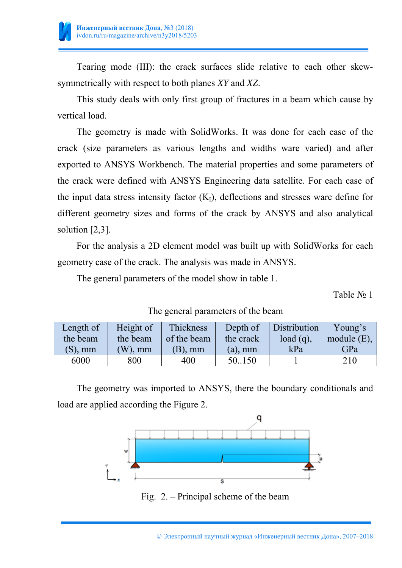

Tearing mode (III): the crack surfaces slide relative to each other skewsymmetrically with respect to both planes *XY* and *XZ*.

This study deals with only first group of fractures in a beam which cause by vertical load.

The geometry is made with SolidWorks. It was done for each case of the crack (size parameters as various lengths and widths ware varied) and after exported to ANSYS Workbench. The material properties and some parameters of the crack were defined with ANSYS Engineering data satellite. For each case of the input data stress intensity factor  $(K<sub>I</sub>)$ , deflections and stresses ware define for different geometry sizes and forms of the crack by ANSYS and also analytical solution [2,3].

For the analysis a 2D element model was built up with SolidWorks for each geometry case of the crack. The analysis was made in ANSYS.

The general parameters of the model show in table 1.

Table № 1

| Length of  | Height of | Thickness   | Depth of   | Distribution | Young's        |
|------------|-----------|-------------|------------|--------------|----------------|
| the beam   | the beam  | of the beam | the crack  | $load(q)$ ,  | module $(E)$ , |
| $(S)$ , mm | $W$ ), mm | $(B)$ , mm  | $(a)$ , mm | kPa          | GPa            |
| 6000       | 800       | 400         | 50.150     |              | 210            |

## The general parameters of the beam

The geometry was imported to ANSYS, there the boundary conditionals and load are applied according the Figure 2.



Fig. 2. – Principal scheme of the beam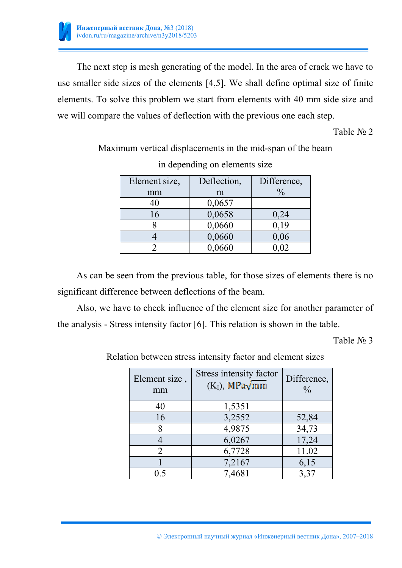

The next step is mesh generating of the model. In the area of crack we have to use smaller side sizes of the elements [4,5]. We shall define optimal size of finite elements. To solve this problem we start from elements with 40 mm side size and we will compare the values of deflection with the previous one each step.

Table № 2

Maximum vertical displacements in the mid-span of the beam

| Element size, | Deflection, | Difference,   |  |  |
|---------------|-------------|---------------|--|--|
| mm            | m           | $\frac{0}{0}$ |  |  |
| 40            | 0,0657      |               |  |  |
| 16            | 0,0658      | 0,24          |  |  |
|               | 0,0660      | 0,19          |  |  |
|               | 0,0660      | 0,06          |  |  |
|               | 0,0660      | $0{,}02$      |  |  |

in depending on elements size

As can be seen from the previous table, for those sizes of elements there is no significant difference between deflections of the beam.

Also, we have to check influence of the element size for another parameter of the analysis - Stress intensity factor [6]. This relation is shown in the table.

Table № 3

Relation between stress intensity factor and element sizes

| Element size,<br>mm | Stress intensity factor<br>$(KI)$ , MPa $\sqrt{mm}$ | Difference,<br>$\frac{0}{0}$ |  |  |
|---------------------|-----------------------------------------------------|------------------------------|--|--|
| 40                  | 1,5351                                              |                              |  |  |
| 16                  | 3,2552                                              | 52,84                        |  |  |
| 8                   | 4,9875                                              | 34,73                        |  |  |
|                     | 6,0267                                              | 17,24                        |  |  |
| 2                   | 6,7728                                              | 11.02                        |  |  |
|                     | 7,2167                                              | 6,15                         |  |  |
| () 5                | 7,4681                                              | 3,37                         |  |  |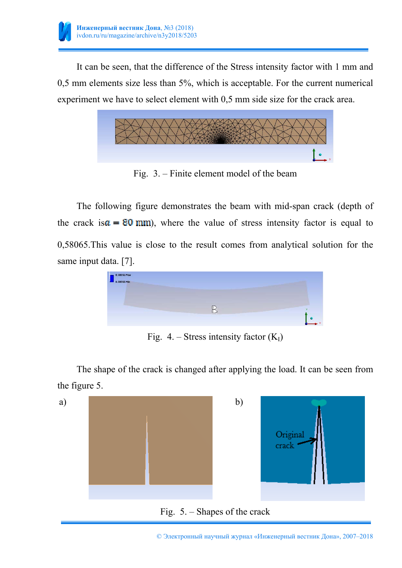

It can be seen, that the difference of the Stress intensity factor with 1 mm and 0,5 mm elements size less than 5%, which is acceptable. For the current numerical experiment we have to select element with 0,5 mm side size for the crack area.



Fig. 3. – Finite element model of the beam

The following figure demonstrates the beam with mid-span crack (depth of the crack is  $\alpha = 80$  mm), where the value of stress intensity factor is equal to 0,58065.This value is close to the result comes from analytical solution for the same input data. [7].



Fig. 4. – Stress intensity factor  $(K<sub>I</sub>)$ 

The shape of the crack is changed after applying the load. It can be seen from the figure 5.



© Электронный научный журнал «Инженерный вестник Дона», 2007–2018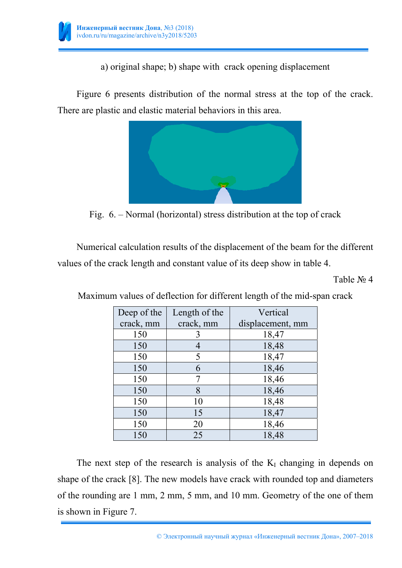

a) original shape; b) shape with crack opening displacement

Figure 6 presents distribution of the normal stress at the top of the crack. There are plastic and elastic material behaviors in this area.



Fig. 6. – Normal (horizontal) stress distribution at the top of crack

Numerical calculation results of the displacement of the beam for the different values of the crack length and constant value of its deep show in table 4.

Table № 4

| Deep of the | Length of the | Vertical         |
|-------------|---------------|------------------|
| crack, mm   | crack, mm     | displacement, mm |
| 150         |               | 18,47            |
| 150         |               | 18,48            |
| 150         | 5             | 18,47            |
| 150         | 6             | 18,46            |
| 150         |               | 18,46            |
| 150         | 8             | 18,46            |
| 150         | 10            | 18,48            |
| 150         | 15            | 18,47            |
| 150         | 20            | 18,46            |
| 150         | 25            | 18,48            |

Maximum values of deflection for different length of the mid-span crack

The next step of the research is analysis of the  $K<sub>I</sub>$  changing in depends on shape of the crack [8]. The new models have crack with rounded top and diameters of the rounding are 1 mm, 2 mm, 5 mm, and 10 mm. Geometry of the one of them is shown in Figure 7.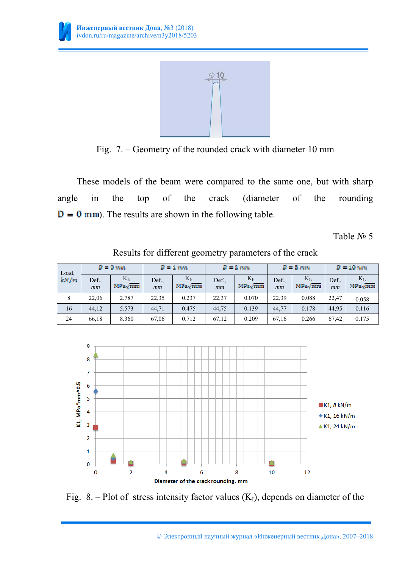

Fig. 7. – Geometry of the rounded crack with diameter 10 mm

These models of the beam were compared to the same one, but with sharp angle in the top of the crack (diameter of the rounding  $D = 0$  mm). The results are shown in the following table.

Table № 5

| Load,       | $P = 0$ mm  |                                 | $P = 1$ mm    |                                 | $P = 2$ mm. |                                | $D = 5$ rem. |                                 | $P = 10$ mm |                   |
|-------------|-------------|---------------------------------|---------------|---------------------------------|-------------|--------------------------------|--------------|---------------------------------|-------------|-------------------|
| <b>EN/m</b> | Def.,<br>mm | $K_{I}$<br>MPa <sub>x</sub> /mm | Def.,<br>$mm$ | $K_{I}$<br>MPa <sub>v</sub> /mm | Def.,<br>mm | $K_{I}$<br>MP <sub>Ly</sub> mm | Def.,<br>mm  | $K_{L}$<br>MPa <sub>v</sub> /mm | Def.,<br>mm | $K_{I}$<br>MPaymm |
| 8           | 22.06       | 2.787                           | 22,35         | 0.237                           | 22.37       | 0.070                          | 22,39        | 0.088                           | 22.47       | 0.058             |
| 16          | 44,12       | 5.573                           | 44,71         | 0.475                           | 44,75       | 0.139                          | 44,77        | 0.178                           | 44.95       | 0.116             |
| 24          | 66,18       | 8.360                           | 67,06         | 0.712                           | 67,12       | 0.209                          | 67,16        | 0.266                           | 67,42       | 0.175             |

Results for different geometry parameters of the crack



Fig. 8. – Plot of stress intensity factor values  $(K<sub>I</sub>)$ , depends on diameter of the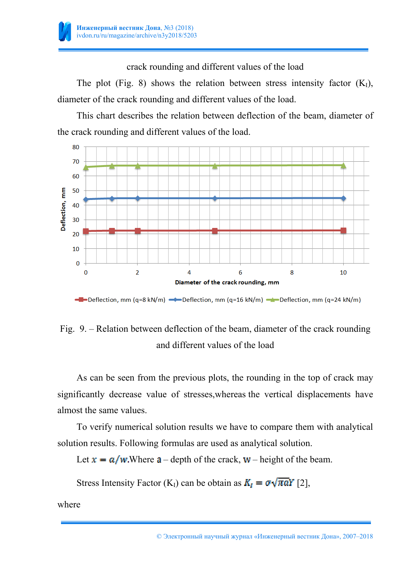

crack rounding and different values of the load

The plot (Fig. 8) shows the relation between stress intensity factor  $(K<sub>I</sub>)$ , diameter of the crack rounding and different values of the load.

This chart describes the relation between deflection of the beam, diameter of the crack rounding and different values of the load.



```
-Deflection, mm (q=8 kN/m) -Deflection, mm (q=16 kN/m) -Deflection, mm (q=24 kN/m)
```
# Fig. 9. – Relation between deflection of the beam, diameter of the crack rounding and different values of the load

As can be seen from the previous plots, the rounding in the top of crack may significantly decrease value of stresses,whereas the vertical displacements have almost the same values.

To verify numerical solution results we have to compare them with analytical solution results. Following formulas are used as analytical solution.

Let  $x = a/w$ . Where  $a$  – depth of the crack,  $w$  – height of the beam.

Stress Intensity Factor (K<sub>I</sub>) can be obtain as  $K_I = \sigma \sqrt{\pi a} Y$  [2],

where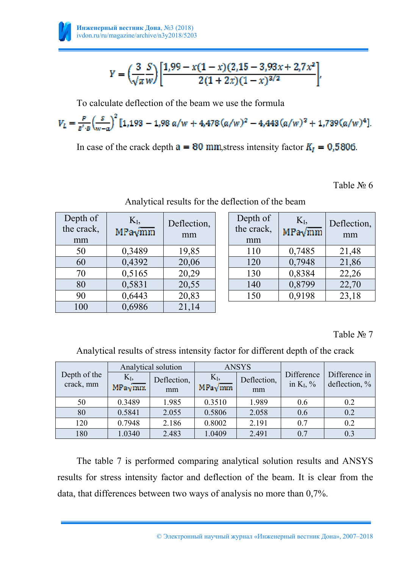

$$
Y = \left(\frac{3}{\sqrt{\pi w}}\right) \left[ \frac{1,99 - x(1-x)(2,15 - 3,93x + 2,7x^2)}{2(1+2x)(1-x)^{3/2}} \right]
$$

To calculate deflection of the beam we use the formula

$$
V_L = \frac{P}{g^t \cdot B} \left(\frac{S}{w - \alpha}\right)^2 [1, 193 - 1, 98 \alpha/w + 4, 478 (\alpha/w)^2 - 4, 443 (\alpha/w)^3 + 1, 739 (\alpha/w)^4].
$$

In case of the crack depth  $a = 80$  mm, stress intensity factor  $K_I = 0.5806$ .

Table № 6

| Depth of<br>the crack,<br>mm | $K_I$<br>MPa√mm | Deflection,<br>mm | Depth of<br>the crack,<br>mm | $K_{I}$<br>$MPa\sqrt{mm}$ | Deflection,<br>mm |
|------------------------------|-----------------|-------------------|------------------------------|---------------------------|-------------------|
| 50                           | 0,3489          | 19,85             | 110                          | 0,7485                    | 21,48             |
| 60                           | 0,4392          | 20,06             | 120                          | 0,7948                    | 21,86             |
| 70                           | 0,5165          | 20,29             | 130                          | 0,8384                    | 22,26             |
| 80                           | 0,5831          | 20,55             | 140                          | 0,8799                    | 22,70             |
| 90                           | 0,6443          | 20,83             | 150                          | 0,9198                    | 23,18             |
| 100                          | 0,6986          | 21,14             |                              |                           |                   |

### Analytical results for the deflection of the beam

Table № 7

Analytical results of stress intensity factor for different depth of the crack

| Depth of the<br>crack, mm | Analytical solution |                   |                         | <b>ANSYS</b>      |                            |                                |  |
|---------------------------|---------------------|-------------------|-------------------------|-------------------|----------------------------|--------------------------------|--|
|                           | $K_I$<br>MPaymm     | Deflection,<br>mm | $K_I$<br>$MPa\sqrt{mm}$ | Deflection,<br>mm | Difference<br>in $K_I$ , % | Difference in<br>deflection, % |  |
| 50                        | 0.3489              | 1.985             | 0.3510                  | 1.989             | 0.6                        | 0.2                            |  |
| 80                        | 0.5841              | 2.055             | 0.5806                  | 2.058             | 0.6                        | 0.2                            |  |
| 120                       | 0.7948              | 2.186             | 0.8002                  | 2.191             | 0.7                        | 0.2                            |  |
| 180                       | 1.0340              | 2.483             | 1.0409                  | 2.491             | 0.7                        | 0.3                            |  |

The table 7 is performed comparing analytical solution results and ANSYS results for stress intensity factor and deflection of the beam. It is clear from the data, that differences between two ways of analysis no more than 0,7%.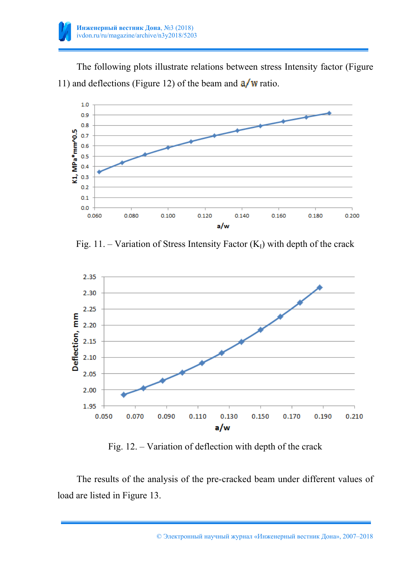

The following plots illustrate relations between stress Intensity factor (Figure 11) and deflections (Figure 12) of the beam and  $\frac{a}{w}$  ratio.



Fig. 11. – Variation of Stress Intensity Factor  $(K<sub>I</sub>)$  with depth of the crack



Fig. 12. – Variation of deflection with depth of the crack

The results of the analysis of the pre-cracked beam under different values of load are listed in Figure 13.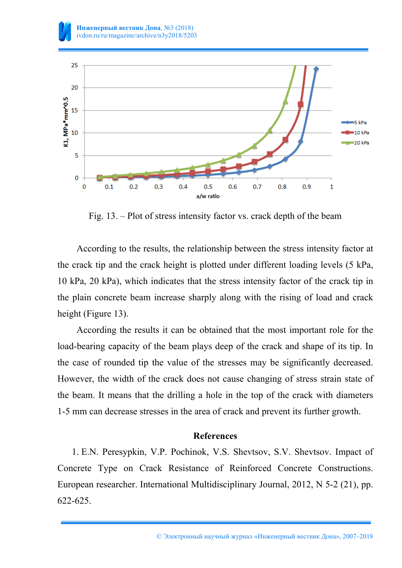

Fig. 13. – Plot of stress intensity factor vs. crack depth of the beam

According to the results, the relationship between the stress intensity factor at the crack tip and the crack height is plotted under different loading levels (5 kPa, 10 kPa, 20 kPa), which indicates that the stress intensity factor of the crack tip in the plain concrete beam increase sharply along with the rising of load and crack height (Figure 13).

According the results it can be obtained that the most important role for the load-bearing capacity of the beam plays deep of the crack and shape of its tip. In the case of rounded tip the value of the stresses may be significantly decreased. However, the width of the crack does not cause changing of stress strain state of the beam. It means that the drilling a hole in the top of the crack with diameters 1-5 mm can decrease stresses in the area of crack and prevent its further growth.

#### **References**

1. E.N. Peresypkin, V.P. Pochinok, V.S. Shevtsov, S.V. Shevtsov. Impact of Concrete Type on Crack Resistance of Reinforced Concrete Constructions. European researcher. International Multidisciplinary Journal, 2012, N 5-2 (21), pp. 622-625.